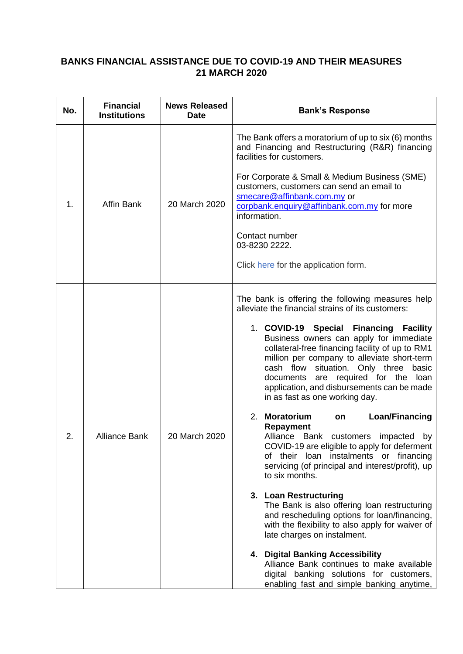## **BANKS FINANCIAL ASSISTANCE DUE TO COVID-19 AND THEIR MEASURES 21 MARCH 2020**

| No. | <b>Financial</b><br><b>Institutions</b> | <b>News Released</b><br><b>Date</b> | <b>Bank's Response</b>                                                                                                                                                                                                                                                                                                                                                                                                                                                                                                                                                                                                                                                                                                                                                                                                                                                                                                                                                                                                                                                                                                                |
|-----|-----------------------------------------|-------------------------------------|---------------------------------------------------------------------------------------------------------------------------------------------------------------------------------------------------------------------------------------------------------------------------------------------------------------------------------------------------------------------------------------------------------------------------------------------------------------------------------------------------------------------------------------------------------------------------------------------------------------------------------------------------------------------------------------------------------------------------------------------------------------------------------------------------------------------------------------------------------------------------------------------------------------------------------------------------------------------------------------------------------------------------------------------------------------------------------------------------------------------------------------|
| 1.  | Affin Bank                              | 20 March 2020                       | The Bank offers a moratorium of up to six (6) months<br>and Financing and Restructuring (R&R) financing<br>facilities for customers.<br>For Corporate & Small & Medium Business (SME)<br>customers, customers can send an email to<br>smecare@affinbank.com.my or<br>corpbank.enquiry@affinbank.com.my for more<br>information.<br>Contact number<br>03-8230 2222.<br>Click here for the application form.                                                                                                                                                                                                                                                                                                                                                                                                                                                                                                                                                                                                                                                                                                                            |
| 2.  | <b>Alliance Bank</b>                    | 20 March 2020                       | The bank is offering the following measures help<br>alleviate the financial strains of its customers:<br>1. COVID-19 Special Financing Facility<br>Business owners can apply for immediate<br>collateral-free financing facility of up to RM1<br>million per company to alleviate short-term<br>cash flow situation. Only three<br>basic<br>documents are required for the<br>loan<br>application, and disbursements can be made<br>in as fast as one working day.<br>2. Moratorium<br>Loan/Financing<br>on<br><b>Repayment</b><br>Alliance Bank customers impacted<br>by<br>COVID-19 are eligible to apply for deferment<br>their loan<br>instalments or financing<br>of<br>servicing (of principal and interest/profit), up<br>to six months.<br>3. Loan Restructuring<br>The Bank is also offering loan restructuring<br>and rescheduling options for loan/financing,<br>with the flexibility to also apply for waiver of<br>late charges on instalment.<br>4. Digital Banking Accessibility<br>Alliance Bank continues to make available<br>digital banking solutions for customers,<br>enabling fast and simple banking anytime, |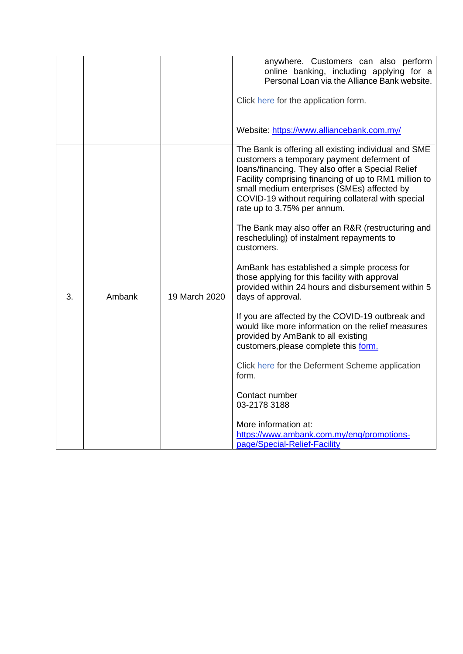|    |        |               | anywhere. Customers can also perform<br>online banking, including applying for a<br>Personal Loan via the Alliance Bank website.                                                                                                                                                                                                                     |
|----|--------|---------------|------------------------------------------------------------------------------------------------------------------------------------------------------------------------------------------------------------------------------------------------------------------------------------------------------------------------------------------------------|
|    |        |               | Click here for the application form.                                                                                                                                                                                                                                                                                                                 |
|    |        |               | Website: https://www.alliancebank.com.my/                                                                                                                                                                                                                                                                                                            |
| 3. | Ambank | 19 March 2020 | The Bank is offering all existing individual and SME<br>customers a temporary payment deferment of<br>loans/financing. They also offer a Special Relief<br>Facility comprising financing of up to RM1 million to<br>small medium enterprises (SMEs) affected by<br>COVID-19 without requiring collateral with special<br>rate up to 3.75% per annum. |
|    |        |               | The Bank may also offer an R&R (restructuring and<br>rescheduling) of instalment repayments to<br>customers.                                                                                                                                                                                                                                         |
|    |        |               | AmBank has established a simple process for<br>those applying for this facility with approval<br>provided within 24 hours and disbursement within 5<br>days of approval.                                                                                                                                                                             |
|    |        |               | If you are affected by the COVID-19 outbreak and<br>would like more information on the relief measures<br>provided by AmBank to all existing<br>customers, please complete this form.                                                                                                                                                                |
|    |        |               | Click here for the Deferment Scheme application<br>form.                                                                                                                                                                                                                                                                                             |
|    |        |               | Contact number<br>03-2178 3188                                                                                                                                                                                                                                                                                                                       |
|    |        |               | More information at:<br>https://www.ambank.com.my/eng/promotions-<br>page/Special-Relief-Facility                                                                                                                                                                                                                                                    |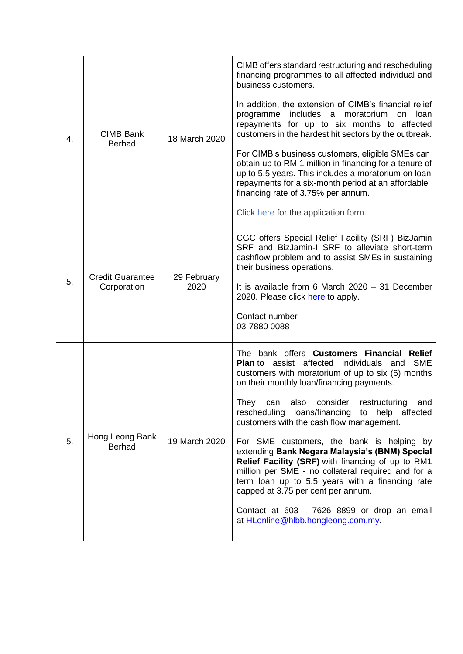| 4. | <b>CIMB Bank</b><br><b>Berhad</b>      | 18 March 2020       | CIMB offers standard restructuring and rescheduling<br>financing programmes to all affected individual and<br>business customers.                                                                                                                                                                                                                           |
|----|----------------------------------------|---------------------|-------------------------------------------------------------------------------------------------------------------------------------------------------------------------------------------------------------------------------------------------------------------------------------------------------------------------------------------------------------|
|    |                                        |                     | In addition, the extension of CIMB's financial relief<br>includes a moratorium<br>programme<br>on<br>loan<br>repayments for up to six months to affected<br>customers in the hardest hit sectors by the outbreak.                                                                                                                                           |
|    |                                        |                     | For CIMB's business customers, eligible SMEs can<br>obtain up to RM 1 million in financing for a tenure of<br>up to 5.5 years. This includes a moratorium on loan<br>repayments for a six-month period at an affordable<br>financing rate of 3.75% per annum.                                                                                               |
|    |                                        |                     | Click here for the application form.                                                                                                                                                                                                                                                                                                                        |
| 5. | <b>Credit Guarantee</b><br>Corporation | 29 February<br>2020 | CGC offers Special Relief Facility (SRF) BizJamin<br>SRF and BizJamin-I SRF to alleviate short-term<br>cashflow problem and to assist SMEs in sustaining<br>their business operations.<br>It is available from 6 March $2020 - 31$ December<br>2020. Please click here to apply.                                                                            |
|    |                                        |                     | Contact number<br>03-7880 0088                                                                                                                                                                                                                                                                                                                              |
| 5. | Hong Leong Bank<br><b>Berhad</b>       | 19 March 2020       | The bank offers Customers Financial Relief<br><b>SME</b><br><b>Plan</b> to assist affected<br>individuals<br>and<br>customers with moratorium of up to six (6) months<br>on their monthly loan/financing payments.<br>They can also consider restructuring and<br>rescheduling loans/financing to help affected<br>customers with the cash flow management. |
|    |                                        |                     | For SME customers, the bank is helping by<br>extending Bank Negara Malaysia's (BNM) Special<br>Relief Facility (SRF) with financing of up to RM1<br>million per SME - no collateral required and for a<br>term loan up to 5.5 years with a financing rate<br>capped at 3.75 per cent per annum.                                                             |
|    |                                        |                     | Contact at 603 - 7626 8899 or drop an email<br>at <b>HLonline@hlbb.hongleong.com.my.</b>                                                                                                                                                                                                                                                                    |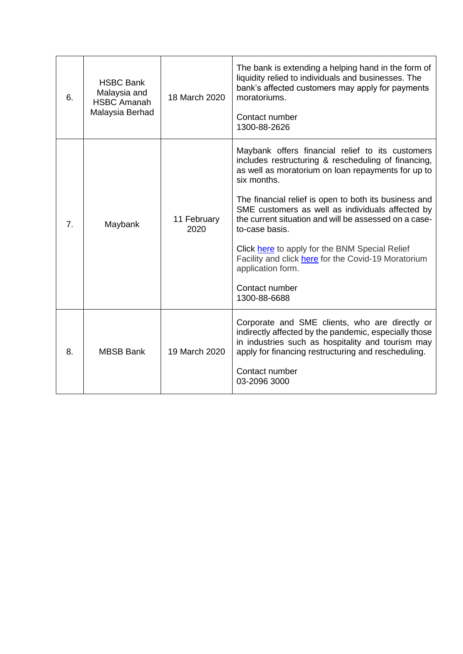| 6.             | <b>HSBC Bank</b><br>Malaysia and<br><b>HSBC Amanah</b><br>Malaysia Berhad | 18 March 2020       | The bank is extending a helping hand in the form of<br>liquidity relied to individuals and businesses. The<br>bank's affected customers may apply for payments<br>moratoriums.<br>Contact number<br>1300-88-2626                                                                                                                                                                                                                                                                                                                     |
|----------------|---------------------------------------------------------------------------|---------------------|--------------------------------------------------------------------------------------------------------------------------------------------------------------------------------------------------------------------------------------------------------------------------------------------------------------------------------------------------------------------------------------------------------------------------------------------------------------------------------------------------------------------------------------|
| 7 <sub>1</sub> | Maybank                                                                   | 11 February<br>2020 | Maybank offers financial relief to its customers<br>includes restructuring & rescheduling of financing,<br>as well as moratorium on loan repayments for up to<br>six months.<br>The financial relief is open to both its business and<br>SME customers as well as individuals affected by<br>the current situation and will be assessed on a case-<br>to-case basis.<br>Click here to apply for the BNM Special Relief<br>Facility and click here for the Covid-19 Moratorium<br>application form.<br>Contact number<br>1300-88-6688 |
| 8.             | <b>MBSB Bank</b>                                                          | 19 March 2020       | Corporate and SME clients, who are directly or<br>indirectly affected by the pandemic, especially those<br>in industries such as hospitality and tourism may<br>apply for financing restructuring and rescheduling.<br>Contact number<br>03-2096 3000                                                                                                                                                                                                                                                                                |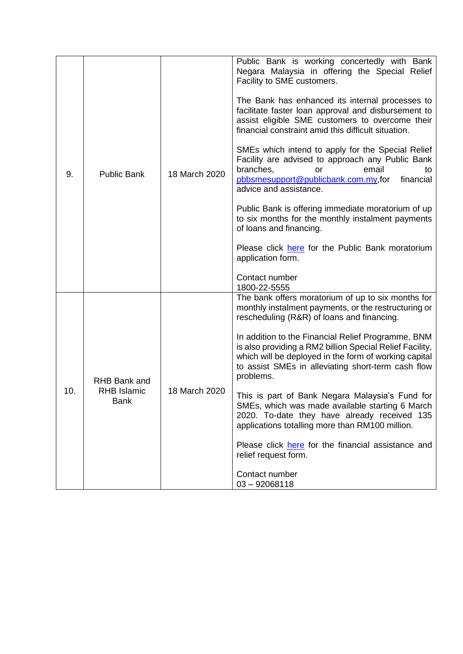| 9.  | <b>Public Bank</b>                         | 18 March 2020 | Public Bank is working concertedly with Bank<br>Negara Malaysia in offering the Special Relief<br>Facility to SME customers.<br>The Bank has enhanced its internal processes to<br>facilitate faster loan approval and disbursement to<br>assist eligible SME customers to overcome their<br>financial constraint amid this difficult situation.<br>SMEs which intend to apply for the Special Relief<br>Facility are advised to approach any Public Bank<br>branches,<br>email<br><b>or</b><br>to<br>pbbsmesupport@publicbank.com.my,for<br>financial<br>advice and assistance.<br>Public Bank is offering immediate moratorium of up<br>to six months for the monthly instalment payments<br>of loans and financing.<br>Please click here for the Public Bank moratorium<br>application form.<br>Contact number<br>1800-22-5555 |
|-----|--------------------------------------------|---------------|-----------------------------------------------------------------------------------------------------------------------------------------------------------------------------------------------------------------------------------------------------------------------------------------------------------------------------------------------------------------------------------------------------------------------------------------------------------------------------------------------------------------------------------------------------------------------------------------------------------------------------------------------------------------------------------------------------------------------------------------------------------------------------------------------------------------------------------|
| 10. | RHB Bank and<br><b>RHB Islamic</b><br>Bank | 18 March 2020 | The bank offers moratorium of up to six months for<br>monthly instalment payments, or the restructuring or<br>rescheduling (R&R) of loans and financing.<br>In addition to the Financial Relief Programme, BNM<br>is also providing a RM2 billion Special Relief Facility,<br>which will be deployed in the form of working capital<br>to assist SMEs in alleviating short-term cash flow<br>problems.<br>This is part of Bank Negara Malaysia's Fund for<br>SMEs, which was made available starting 6 March<br>2020. To-date they have already received 135<br>applications totalling more than RM100 million.<br>Please click here for the financial assistance and<br>relief request form.<br>Contact number<br>$03 - 92068118$                                                                                                |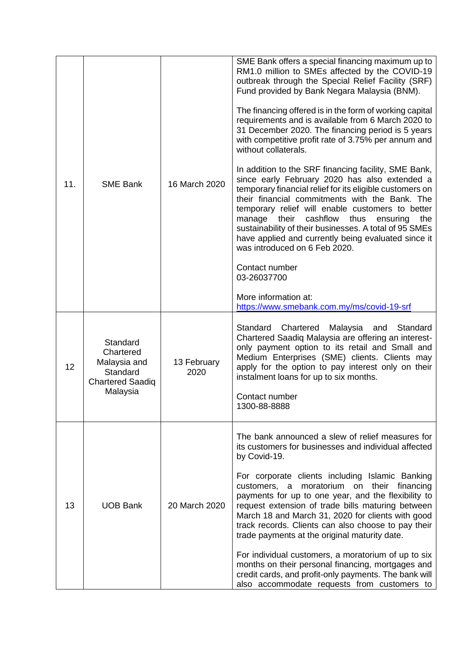| 11. | <b>SME Bank</b>                                                                          | 16 March 2020       | SME Bank offers a special financing maximum up to<br>RM1.0 million to SMEs affected by the COVID-19<br>outbreak through the Special Relief Facility (SRF)<br>Fund provided by Bank Negara Malaysia (BNM).<br>The financing offered is in the form of working capital<br>requirements and is available from 6 March 2020 to<br>31 December 2020. The financing period is 5 years<br>with competitive profit rate of 3.75% per annum and<br>without collaterals.<br>In addition to the SRF financing facility, SME Bank,<br>since early February 2020 has also extended a<br>temporary financial relief for its eligible customers on<br>their financial commitments with the Bank. The<br>temporary relief will enable customers to better<br>cashflow<br>manage<br>their<br>thus<br>the<br>ensuring<br>sustainability of their businesses. A total of 95 SMEs<br>have applied and currently being evaluated since it<br>was introduced on 6 Feb 2020.<br>Contact number<br>03-26037700<br>More information at:<br>https://www.smebank.com.my/ms/covid-19-srf |
|-----|------------------------------------------------------------------------------------------|---------------------|--------------------------------------------------------------------------------------------------------------------------------------------------------------------------------------------------------------------------------------------------------------------------------------------------------------------------------------------------------------------------------------------------------------------------------------------------------------------------------------------------------------------------------------------------------------------------------------------------------------------------------------------------------------------------------------------------------------------------------------------------------------------------------------------------------------------------------------------------------------------------------------------------------------------------------------------------------------------------------------------------------------------------------------------------------------|
| 12  | Standard<br>Chartered<br>Malaysia and<br>Standard<br><b>Chartered Saadiq</b><br>Malaysia | 13 February<br>2020 | Standard<br>Chartered Malaysia and<br>Standard<br>Chartered Saadiq Malaysia are offering an interest-<br>only payment option to its retail and Small and<br>Medium Enterprises (SME) clients. Clients may<br>apply for the option to pay interest only on their<br>instalment loans for up to six months.<br>Contact number<br>1300-88-8888                                                                                                                                                                                                                                                                                                                                                                                                                                                                                                                                                                                                                                                                                                                  |
| 13  | <b>UOB Bank</b>                                                                          | 20 March 2020       | The bank announced a slew of relief measures for<br>its customers for businesses and individual affected<br>by Covid-19.<br>For corporate clients including Islamic Banking<br>customers, a moratorium on their financing<br>payments for up to one year, and the flexibility to<br>request extension of trade bills maturing between<br>March 18 and March 31, 2020 for clients with good<br>track records. Clients can also choose to pay their<br>trade payments at the original maturity date.<br>For individual customers, a moratorium of up to six<br>months on their personal financing, mortgages and<br>credit cards, and profit-only payments. The bank will<br>also accommodate requests from customers to                                                                                                                                                                                                                                                                                                                                       |